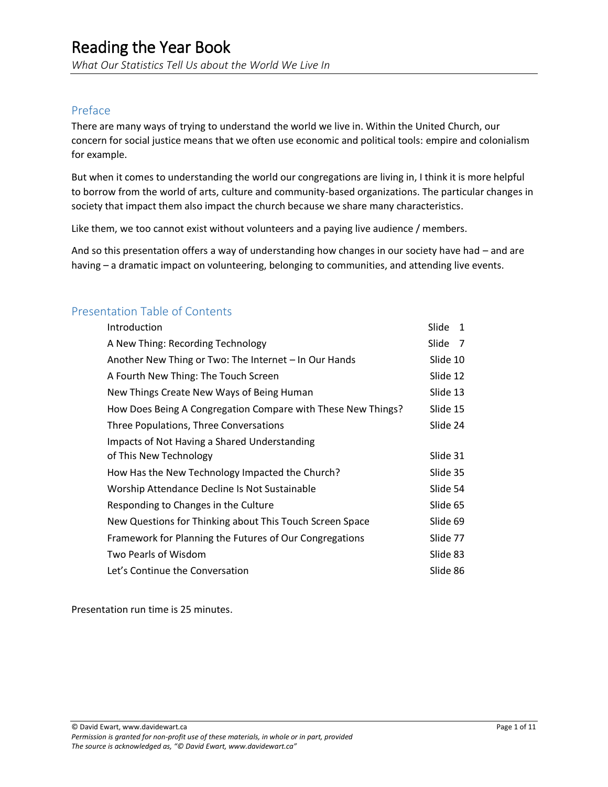*What Our Statistics Tell Us about the World We Live In*

### Preface

There are many ways of trying to understand the world we live in. Within the United Church, our concern for social justice means that we often use economic and political tools: empire and colonialism for example.

But when it comes to understanding the world our congregations are living in, I think it is more helpful to borrow from the world of arts, culture and community-based organizations. The particular changes in society that impact them also impact the church because we share many characteristics.

Like them, we too cannot exist without volunteers and a paying live audience / members.

And so this presentation offers a way of understanding how changes in our society have had – and are having – a dramatic impact on volunteering, belonging to communities, and attending live events.

### Presentation Table of Contents

| Introduction                                                 | Slide<br>1              |
|--------------------------------------------------------------|-------------------------|
| A New Thing: Recording Technology                            | Slide<br>$\overline{7}$ |
| Another New Thing or Two: The Internet - In Our Hands        | Slide 10                |
| A Fourth New Thing: The Touch Screen                         | Slide 12                |
| New Things Create New Ways of Being Human                    | Slide 13                |
| How Does Being A Congregation Compare with These New Things? | Slide 15                |
| Three Populations, Three Conversations                       | Slide 24                |
| Impacts of Not Having a Shared Understanding                 |                         |
| of This New Technology                                       | Slide 31                |
| How Has the New Technology Impacted the Church?              | Slide 35                |
| Worship Attendance Decline Is Not Sustainable                | Slide 54                |
| Responding to Changes in the Culture                         | Slide 65                |
| New Questions for Thinking about This Touch Screen Space     | Slide 69                |
| Framework for Planning the Futures of Our Congregations      | Slide 77                |
| Two Pearls of Wisdom                                         | Slide 83                |
| Let's Continue the Conversation                              | Slide 86                |

Presentation run time is 25 minutes.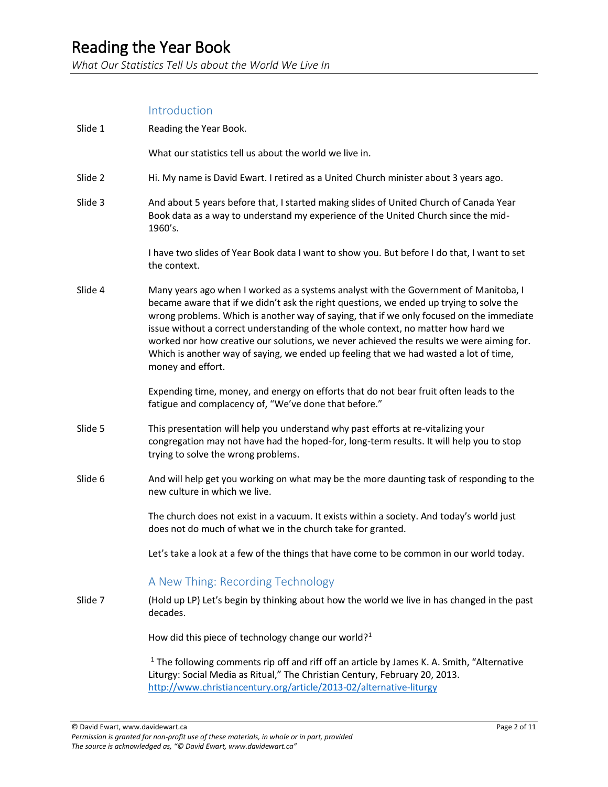*What Our Statistics Tell Us about the World We Live In*

### Introduction

| Slide 1 | Reading the Year Book.                                                                                                                                                                                                                                                                                                                                                                                                                                                                                                                                                     |
|---------|----------------------------------------------------------------------------------------------------------------------------------------------------------------------------------------------------------------------------------------------------------------------------------------------------------------------------------------------------------------------------------------------------------------------------------------------------------------------------------------------------------------------------------------------------------------------------|
|         | What our statistics tell us about the world we live in.                                                                                                                                                                                                                                                                                                                                                                                                                                                                                                                    |
| Slide 2 | Hi. My name is David Ewart. I retired as a United Church minister about 3 years ago.                                                                                                                                                                                                                                                                                                                                                                                                                                                                                       |
| Slide 3 | And about 5 years before that, I started making slides of United Church of Canada Year<br>Book data as a way to understand my experience of the United Church since the mid-<br>1960's.                                                                                                                                                                                                                                                                                                                                                                                    |
|         | I have two slides of Year Book data I want to show you. But before I do that, I want to set<br>the context.                                                                                                                                                                                                                                                                                                                                                                                                                                                                |
| Slide 4 | Many years ago when I worked as a systems analyst with the Government of Manitoba, I<br>became aware that if we didn't ask the right questions, we ended up trying to solve the<br>wrong problems. Which is another way of saying, that if we only focused on the immediate<br>issue without a correct understanding of the whole context, no matter how hard we<br>worked nor how creative our solutions, we never achieved the results we were aiming for.<br>Which is another way of saying, we ended up feeling that we had wasted a lot of time,<br>money and effort. |
|         | Expending time, money, and energy on efforts that do not bear fruit often leads to the<br>fatigue and complacency of, "We've done that before."                                                                                                                                                                                                                                                                                                                                                                                                                            |
| Slide 5 | This presentation will help you understand why past efforts at re-vitalizing your<br>congregation may not have had the hoped-for, long-term results. It will help you to stop<br>trying to solve the wrong problems.                                                                                                                                                                                                                                                                                                                                                       |
| Slide 6 | And will help get you working on what may be the more daunting task of responding to the<br>new culture in which we live.                                                                                                                                                                                                                                                                                                                                                                                                                                                  |
|         | The church does not exist in a vacuum. It exists within a society. And today's world just<br>does not do much of what we in the church take for granted.                                                                                                                                                                                                                                                                                                                                                                                                                   |
|         | Let's take a look at a few of the things that have come to be common in our world today.                                                                                                                                                                                                                                                                                                                                                                                                                                                                                   |
|         | A New Thing: Recording Technology                                                                                                                                                                                                                                                                                                                                                                                                                                                                                                                                          |
| Slide 7 | (Hold up LP) Let's begin by thinking about how the world we live in has changed in the past<br>decades.                                                                                                                                                                                                                                                                                                                                                                                                                                                                    |
|         | How did this piece of technology change our world? <sup>1</sup>                                                                                                                                                                                                                                                                                                                                                                                                                                                                                                            |
|         | <sup>1</sup> The following comments rip off and riff off an article by James K. A. Smith, "Alternative<br>Liturgy: Social Media as Ritual," The Christian Century, February 20, 2013.<br>http://www.christiancentury.org/article/2013-02/alternative-liturgy                                                                                                                                                                                                                                                                                                               |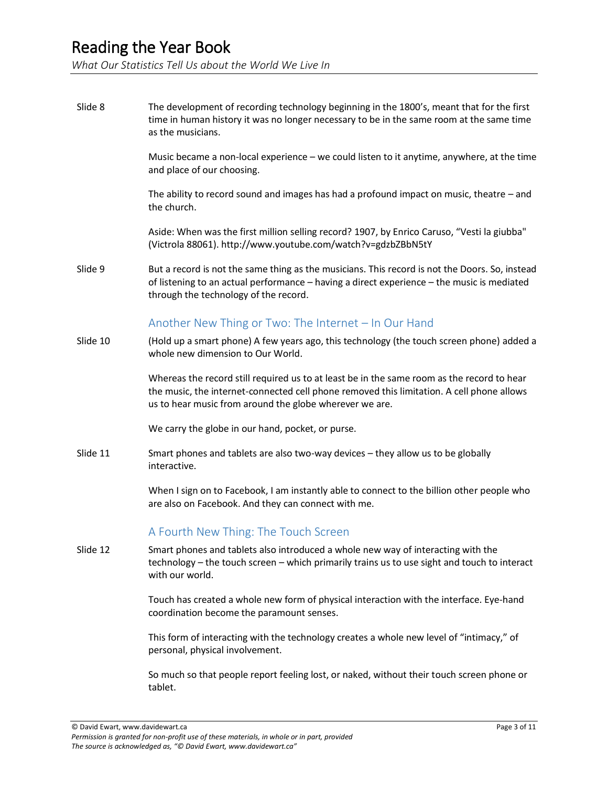*What Our Statistics Tell Us about the World We Live In*

Slide 8 The development of recording technology beginning in the 1800's, meant that for the first time in human history it was no longer necessary to be in the same room at the same time as the musicians. Music became a non-local experience – we could listen to it anytime, anywhere, at the time and place of our choosing. The ability to record sound and images has had a profound impact on music, theatre – and the church. Aside: When was the first million selling record? 1907, by Enrico Caruso, "Vesti la giubba" (Victrola 88061). http://www.youtube.com/watch?v=gdzbZBbN5tY Slide 9 But a record is not the same thing as the musicians. This record is not the Doors. So, instead of listening to an actual performance – having a direct experience – the music is mediated through the technology of the record. Another New Thing or Two: The Internet – In Our Hand Slide 10 (Hold up a smart phone) A few years ago, this technology (the touch screen phone) added a whole new dimension to Our World. Whereas the record still required us to at least be in the same room as the record to hear the music, the internet-connected cell phone removed this limitation. A cell phone allows us to hear music from around the globe wherever we are. We carry the globe in our hand, pocket, or purse. Slide 11 Smart phones and tablets are also two-way devices – they allow us to be globally interactive. When I sign on to Facebook, I am instantly able to connect to the billion other people who are also on Facebook. And they can connect with me. A Fourth New Thing: The Touch Screen Slide 12 Smart phones and tablets also introduced a whole new way of interacting with the technology – the touch screen – which primarily trains us to use sight and touch to interact with our world. Touch has created a whole new form of physical interaction with the interface. Eye-hand coordination become the paramount senses. This form of interacting with the technology creates a whole new level of "intimacy," of personal, physical involvement.

> So much so that people report feeling lost, or naked, without their touch screen phone or tablet.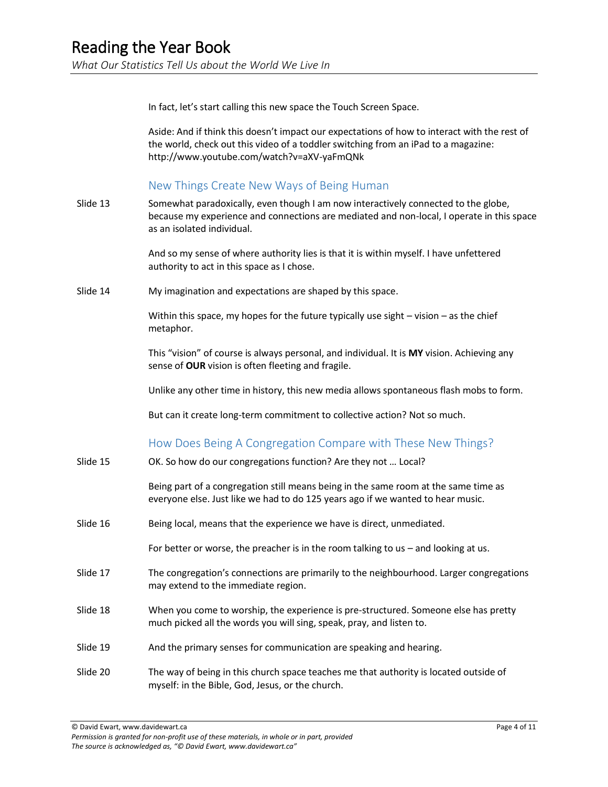In fact, let's start calling this new space the Touch Screen Space.

Aside: And if think this doesn't impact our expectations of how to interact with the rest of the world, check out this video of a toddler switching from an iPad to a magazine: http://www.youtube.com/watch?v=aXV-yaFmQNk

#### New Things Create New Ways of Being Human

Slide 13 Somewhat paradoxically, even though I am now interactively connected to the globe, because my experience and connections are mediated and non-local, I operate in this space as an isolated individual.

> And so my sense of where authority lies is that it is within myself. I have unfettered authority to act in this space as I chose.

Slide 14 My imagination and expectations are shaped by this space.

Within this space, my hopes for the future typically use sight  $-$  vision  $-$  as the chief metaphor.

This "vision" of course is always personal, and individual. It is **MY** vision. Achieving any sense of **OUR** vision is often fleeting and fragile.

Unlike any other time in history, this new media allows spontaneous flash mobs to form.

But can it create long-term commitment to collective action? Not so much.

### How Does Being A Congregation Compare with These New Things?

Slide 15 OK. So how do our congregations function? Are they not … Local?

Being part of a congregation still means being in the same room at the same time as everyone else. Just like we had to do 125 years ago if we wanted to hear music.

Slide 16 Being local, means that the experience we have is direct, unmediated.

For better or worse, the preacher is in the room talking to us – and looking at us.

- Slide 17 The congregation's connections are primarily to the neighbourhood. Larger congregations may extend to the immediate region.
- Slide 18 When you come to worship, the experience is pre-structured. Someone else has pretty much picked all the words you will sing, speak, pray, and listen to.
- Slide 19 And the primary senses for communication are speaking and hearing.
- Slide 20 The way of being in this church space teaches me that authority is located outside of myself: in the Bible, God, Jesus, or the church.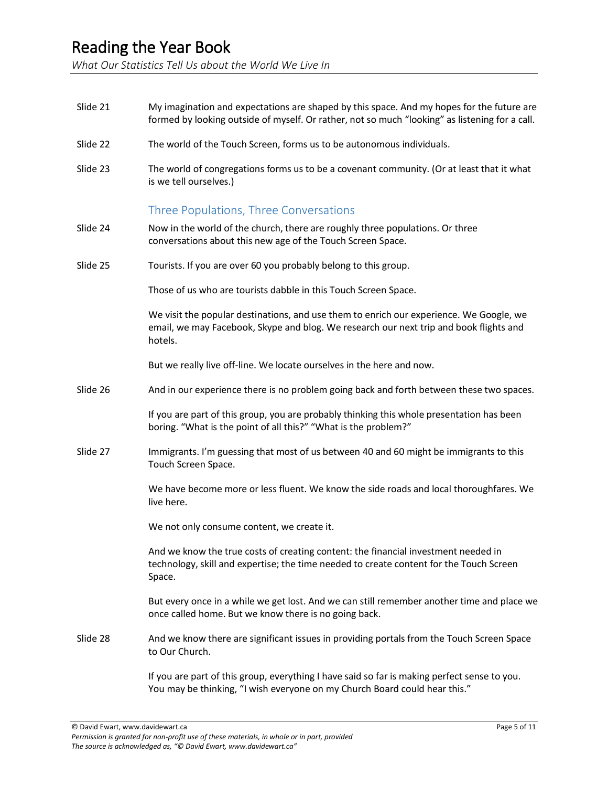*What Our Statistics Tell Us about the World We Live In*

Slide 21 My imagination and expectations are shaped by this space. And my hopes for the future are formed by looking outside of myself. Or rather, not so much "looking" as listening for a call. Slide 22 The world of the Touch Screen, forms us to be autonomous individuals. Slide 23 The world of congregations forms us to be a covenant community. (Or at least that it what is we tell ourselves.) Three Populations, Three Conversations Slide 24 Now in the world of the church, there are roughly three populations. Or three conversations about this new age of the Touch Screen Space. Slide 25 Tourists. If you are over 60 you probably belong to this group. Those of us who are tourists dabble in this Touch Screen Space. We visit the popular destinations, and use them to enrich our experience. We Google, we email, we may Facebook, Skype and blog. We research our next trip and book flights and hotels. But we really live off-line. We locate ourselves in the here and now. Slide 26 And in our experience there is no problem going back and forth between these two spaces. If you are part of this group, you are probably thinking this whole presentation has been boring. "What is the point of all this?" "What is the problem?" Slide 27 Immigrants. I'm guessing that most of us between 40 and 60 might be immigrants to this Touch Screen Space. We have become more or less fluent. We know the side roads and local thoroughfares. We live here. We not only consume content, we create it. And we know the true costs of creating content: the financial investment needed in technology, skill and expertise; the time needed to create content for the Touch Screen Space. But every once in a while we get lost. And we can still remember another time and place we once called home. But we know there is no going back. Slide 28 And we know there are significant issues in providing portals from the Touch Screen Space to Our Church. If you are part of this group, everything I have said so far is making perfect sense to you. You may be thinking, "I wish everyone on my Church Board could hear this."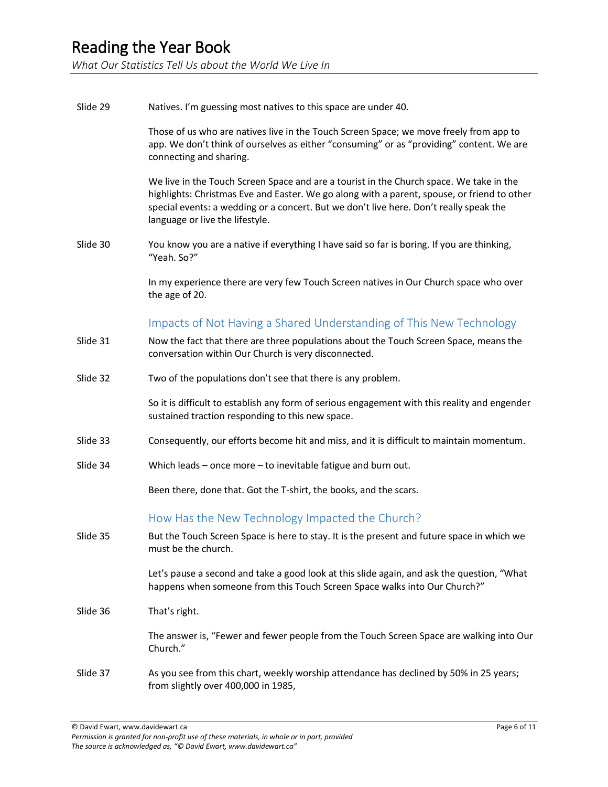*What Our Statistics Tell Us about the World We Live In*

| Slide 29 | Natives. I'm guessing most natives to this space are under 40.                                                                                                                                                                                                                                                      |
|----------|---------------------------------------------------------------------------------------------------------------------------------------------------------------------------------------------------------------------------------------------------------------------------------------------------------------------|
|          | Those of us who are natives live in the Touch Screen Space; we move freely from app to<br>app. We don't think of ourselves as either "consuming" or as "providing" content. We are<br>connecting and sharing.                                                                                                       |
|          | We live in the Touch Screen Space and are a tourist in the Church space. We take in the<br>highlights: Christmas Eve and Easter. We go along with a parent, spouse, or friend to other<br>special events: a wedding or a concert. But we don't live here. Don't really speak the<br>language or live the lifestyle. |
| Slide 30 | You know you are a native if everything I have said so far is boring. If you are thinking,<br>"Yeah. So?"                                                                                                                                                                                                           |
|          | In my experience there are very few Touch Screen natives in Our Church space who over<br>the age of 20.                                                                                                                                                                                                             |
|          | Impacts of Not Having a Shared Understanding of This New Technology                                                                                                                                                                                                                                                 |
| Slide 31 | Now the fact that there are three populations about the Touch Screen Space, means the<br>conversation within Our Church is very disconnected.                                                                                                                                                                       |
| Slide 32 | Two of the populations don't see that there is any problem.                                                                                                                                                                                                                                                         |
|          | So it is difficult to establish any form of serious engagement with this reality and engender<br>sustained traction responding to this new space.                                                                                                                                                                   |
| Slide 33 | Consequently, our efforts become hit and miss, and it is difficult to maintain momentum.                                                                                                                                                                                                                            |
| Slide 34 | Which leads $-$ once more $-$ to inevitable fatigue and burn out.                                                                                                                                                                                                                                                   |
|          | Been there, done that. Got the T-shirt, the books, and the scars.                                                                                                                                                                                                                                                   |
|          | How Has the New Technology Impacted the Church?                                                                                                                                                                                                                                                                     |
| Slide 35 | But the Touch Screen Space is here to stay. It is the present and future space in which we<br>must be the church.                                                                                                                                                                                                   |
|          | Let's pause a second and take a good look at this slide again, and ask the question, "What<br>happens when someone from this Touch Screen Space walks into Our Church?"                                                                                                                                             |
| Slide 36 | That's right.                                                                                                                                                                                                                                                                                                       |
|          | The answer is, "Fewer and fewer people from the Touch Screen Space are walking into Our<br>Church."                                                                                                                                                                                                                 |
| Slide 37 | As you see from this chart, weekly worship attendance has declined by 50% in 25 years;<br>from slightly over 400,000 in 1985,                                                                                                                                                                                       |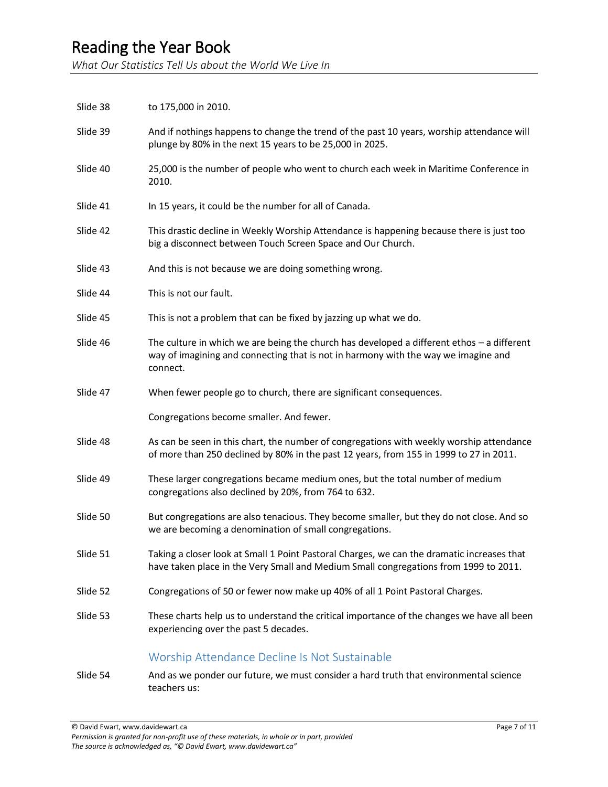*What Our Statistics Tell Us about the World We Live In*

| Slide 38 | to 175,000 in 2010.                                                                                                                                                                          |
|----------|----------------------------------------------------------------------------------------------------------------------------------------------------------------------------------------------|
| Slide 39 | And if nothings happens to change the trend of the past 10 years, worship attendance will<br>plunge by 80% in the next 15 years to be 25,000 in 2025.                                        |
| Slide 40 | 25,000 is the number of people who went to church each week in Maritime Conference in<br>2010.                                                                                               |
| Slide 41 | In 15 years, it could be the number for all of Canada.                                                                                                                                       |
| Slide 42 | This drastic decline in Weekly Worship Attendance is happening because there is just too<br>big a disconnect between Touch Screen Space and Our Church.                                      |
| Slide 43 | And this is not because we are doing something wrong.                                                                                                                                        |
| Slide 44 | This is not our fault.                                                                                                                                                                       |
| Slide 45 | This is not a problem that can be fixed by jazzing up what we do.                                                                                                                            |
| Slide 46 | The culture in which we are being the church has developed a different ethos - a different<br>way of imagining and connecting that is not in harmony with the way we imagine and<br>connect. |
| Slide 47 | When fewer people go to church, there are significant consequences.                                                                                                                          |
|          | Congregations become smaller. And fewer.                                                                                                                                                     |
| Slide 48 | As can be seen in this chart, the number of congregations with weekly worship attendance<br>of more than 250 declined by 80% in the past 12 years, from 155 in 1999 to 27 in 2011.           |
| Slide 49 | These larger congregations became medium ones, but the total number of medium<br>congregations also declined by 20%, from 764 to 632.                                                        |
| Slide 50 | But congregations are also tenacious. They become smaller, but they do not close. And so<br>we are becoming a denomination of small congregations.                                           |
| Slide 51 | Taking a closer look at Small 1 Point Pastoral Charges, we can the dramatic increases that<br>have taken place in the Very Small and Medium Small congregations from 1999 to 2011.           |
| Slide 52 | Congregations of 50 or fewer now make up 40% of all 1 Point Pastoral Charges.                                                                                                                |
| Slide 53 | These charts help us to understand the critical importance of the changes we have all been<br>experiencing over the past 5 decades.                                                          |
|          | Worship Attendance Decline Is Not Sustainable                                                                                                                                                |
| Slide 54 | And as we ponder our future, we must consider a hard truth that environmental science                                                                                                        |

teachers us: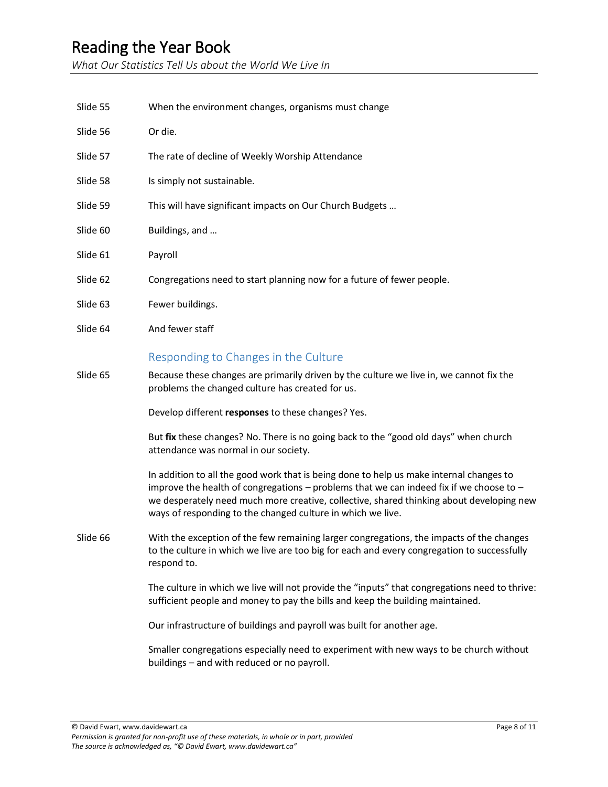*What Our Statistics Tell Us about the World We Live In*

Slide 55 When the environment changes, organisms must change Slide 56 Or die. Slide 57 The rate of decline of Weekly Worship Attendance Slide 58 Is simply not sustainable. Slide 59 This will have significant impacts on Our Church Budgets ... Slide 60 Buildings, and ... Slide 61 Payroll Slide 62 Congregations need to start planning now for a future of fewer people. Slide 63 Fewer buildings. Slide 64 And fewer staff Responding to Changes in the Culture Slide 65 Because these changes are primarily driven by the culture we live in, we cannot fix the problems the changed culture has created for us. Develop different **responses** to these changes? Yes. But **fix** these changes? No. There is no going back to the "good old days" when church attendance was normal in our society. In addition to all the good work that is being done to help us make internal changes to improve the health of congregations – problems that we can indeed fix if we choose to – we desperately need much more creative, collective, shared thinking about developing new ways of responding to the changed culture in which we live. Slide 66 With the exception of the few remaining larger congregations, the impacts of the changes to the culture in which we live are too big for each and every congregation to successfully respond to. The culture in which we live will not provide the "inputs" that congregations need to thrive: sufficient people and money to pay the bills and keep the building maintained. Our infrastructure of buildings and payroll was built for another age. Smaller congregations especially need to experiment with new ways to be church without buildings – and with reduced or no payroll.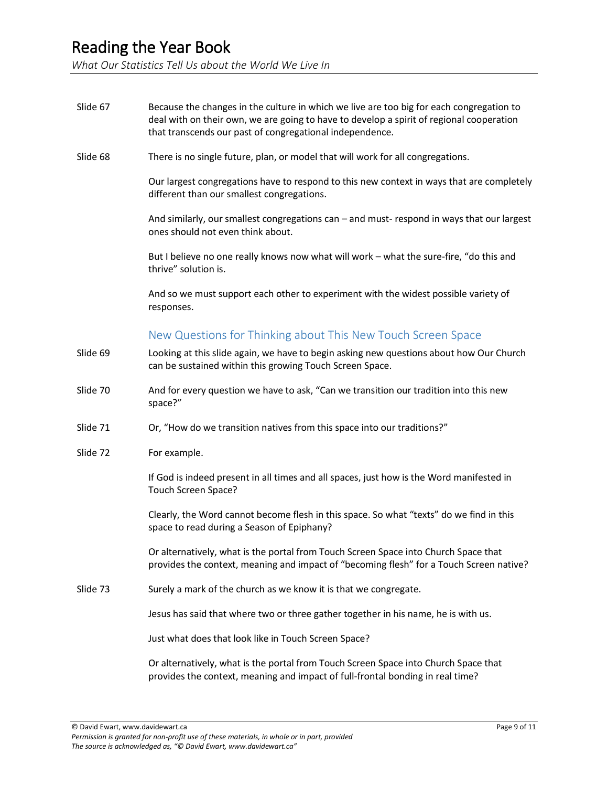*What Our Statistics Tell Us about the World We Live In*

| Slide 67 | Because the changes in the culture in which we live are too big for each congregation to<br>deal with on their own, we are going to have to develop a spirit of regional cooperation<br>that transcends our past of congregational independence. |
|----------|--------------------------------------------------------------------------------------------------------------------------------------------------------------------------------------------------------------------------------------------------|
| Slide 68 | There is no single future, plan, or model that will work for all congregations.                                                                                                                                                                  |
|          | Our largest congregations have to respond to this new context in ways that are completely<br>different than our smallest congregations.                                                                                                          |
|          | And similarly, our smallest congregations can - and must-respond in ways that our largest<br>ones should not even think about.                                                                                                                   |
|          | But I believe no one really knows now what will work - what the sure-fire, "do this and<br>thrive" solution is.                                                                                                                                  |
|          | And so we must support each other to experiment with the widest possible variety of<br>responses.                                                                                                                                                |
|          | New Questions for Thinking about This New Touch Screen Space                                                                                                                                                                                     |
| Slide 69 | Looking at this slide again, we have to begin asking new questions about how Our Church<br>can be sustained within this growing Touch Screen Space.                                                                                              |
| Slide 70 | And for every question we have to ask, "Can we transition our tradition into this new<br>space?"                                                                                                                                                 |
| Slide 71 | Or, "How do we transition natives from this space into our traditions?"                                                                                                                                                                          |
| Slide 72 | For example.                                                                                                                                                                                                                                     |
|          | If God is indeed present in all times and all spaces, just how is the Word manifested in<br>Touch Screen Space?                                                                                                                                  |
|          | Clearly, the Word cannot become flesh in this space. So what "texts" do we find in this<br>space to read during a Season of Epiphany?                                                                                                            |
|          | Or alternatively, what is the portal from Touch Screen Space into Church Space that<br>provides the context, meaning and impact of "becoming flesh" for a Touch Screen native?                                                                   |
| Slide 73 | Surely a mark of the church as we know it is that we congregate.                                                                                                                                                                                 |
|          | Jesus has said that where two or three gather together in his name, he is with us.                                                                                                                                                               |
|          | Just what does that look like in Touch Screen Space?                                                                                                                                                                                             |
|          | Or alternatively, what is the portal from Touch Screen Space into Church Space that<br>provides the context, meaning and impact of full-frontal bonding in real time?                                                                            |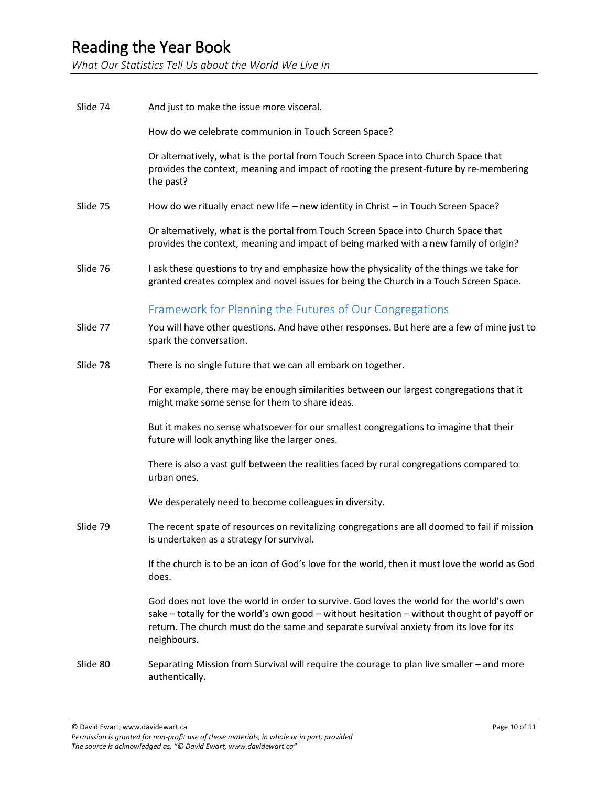*What Our Statistics Tell Us about the World We Live In*

| Slide 74 | And just to make the issue more visceral.                                                                                                                                                                                                                                                         |
|----------|---------------------------------------------------------------------------------------------------------------------------------------------------------------------------------------------------------------------------------------------------------------------------------------------------|
|          | How do we celebrate communion in Touch Screen Space?                                                                                                                                                                                                                                              |
|          | Or alternatively, what is the portal from Touch Screen Space into Church Space that<br>provides the context, meaning and impact of rooting the present-future by re-membering<br>the past?                                                                                                        |
| Slide 75 | How do we ritually enact new life - new identity in Christ - in Touch Screen Space?                                                                                                                                                                                                               |
|          | Or alternatively, what is the portal from Touch Screen Space into Church Space that<br>provides the context, meaning and impact of being marked with a new family of origin?                                                                                                                      |
| Slide 76 | I ask these questions to try and emphasize how the physicality of the things we take for<br>granted creates complex and novel issues for being the Church in a Touch Screen Space.                                                                                                                |
|          | Framework for Planning the Futures of Our Congregations                                                                                                                                                                                                                                           |
| Slide 77 | You will have other questions. And have other responses. But here are a few of mine just to<br>spark the conversation.                                                                                                                                                                            |
| Slide 78 | There is no single future that we can all embark on together.                                                                                                                                                                                                                                     |
|          | For example, there may be enough similarities between our largest congregations that it<br>might make some sense for them to share ideas.                                                                                                                                                         |
|          | But it makes no sense whatsoever for our smallest congregations to imagine that their<br>future will look anything like the larger ones.                                                                                                                                                          |
|          | There is also a vast gulf between the realities faced by rural congregations compared to<br>urban ones.                                                                                                                                                                                           |
|          | We desperately need to become colleagues in diversity.                                                                                                                                                                                                                                            |
| Slide 79 | The recent spate of resources on revitalizing congregations are all doomed to fail if mission<br>is undertaken as a strategy for survival.                                                                                                                                                        |
|          | If the church is to be an icon of God's love for the world, then it must love the world as God<br>does.                                                                                                                                                                                           |
|          | God does not love the world in order to survive. God loves the world for the world's own<br>sake - totally for the world's own good - without hesitation - without thought of payoff or<br>return. The church must do the same and separate survival anxiety from its love for its<br>neighbours. |
| Slide 80 | Separating Mission from Survival will require the courage to plan live smaller - and more<br>authentically.                                                                                                                                                                                       |